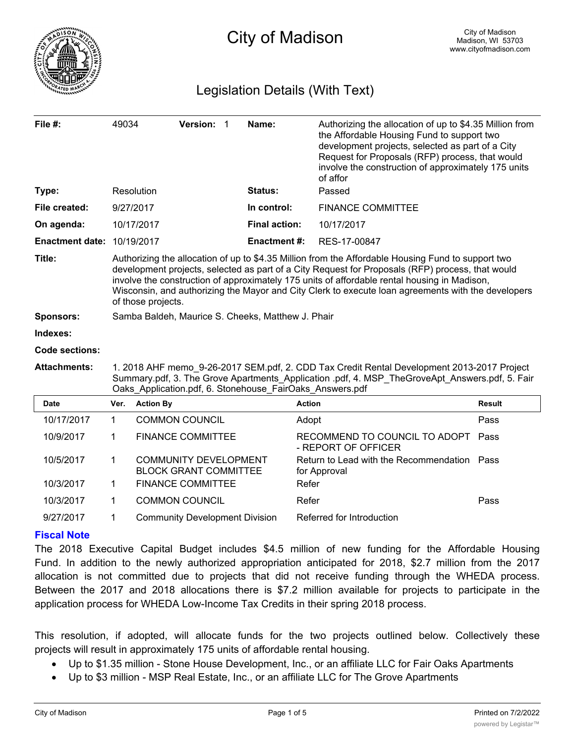

# Legislation Details (With Text)

| File #:                | 49034                                                                                                                                                                                                                                                                                                                                                                                                                              |                                                              | Version: 1 |  | Name:                | Authorizing the allocation of up to \$4.35 Million from<br>the Affordable Housing Fund to support two<br>development projects, selected as part of a City<br>Request for Proposals (RFP) process, that would<br>involve the construction of approximately 175 units<br>of affor |               |  |
|------------------------|------------------------------------------------------------------------------------------------------------------------------------------------------------------------------------------------------------------------------------------------------------------------------------------------------------------------------------------------------------------------------------------------------------------------------------|--------------------------------------------------------------|------------|--|----------------------|---------------------------------------------------------------------------------------------------------------------------------------------------------------------------------------------------------------------------------------------------------------------------------|---------------|--|
| Type:                  |                                                                                                                                                                                                                                                                                                                                                                                                                                    | Resolution                                                   |            |  | <b>Status:</b>       | Passed                                                                                                                                                                                                                                                                          |               |  |
| File created:          | 9/27/2017                                                                                                                                                                                                                                                                                                                                                                                                                          |                                                              |            |  | In control:          | <b>FINANCE COMMITTEE</b>                                                                                                                                                                                                                                                        |               |  |
| On agenda:             | 10/17/2017                                                                                                                                                                                                                                                                                                                                                                                                                         |                                                              |            |  | <b>Final action:</b> | 10/17/2017                                                                                                                                                                                                                                                                      |               |  |
| <b>Enactment date:</b> | 10/19/2017                                                                                                                                                                                                                                                                                                                                                                                                                         |                                                              |            |  | <b>Enactment#:</b>   | RES-17-00847                                                                                                                                                                                                                                                                    |               |  |
| Title:                 | Authorizing the allocation of up to \$4.35 Million from the Affordable Housing Fund to support two<br>development projects, selected as part of a City Request for Proposals (RFP) process, that would<br>involve the construction of approximately 175 units of affordable rental housing in Madison,<br>Wisconsin, and authorizing the Mayor and City Clerk to execute loan agreements with the developers<br>of those projects. |                                                              |            |  |                      |                                                                                                                                                                                                                                                                                 |               |  |
| <b>Sponsors:</b>       | Samba Baldeh, Maurice S. Cheeks, Matthew J. Phair                                                                                                                                                                                                                                                                                                                                                                                  |                                                              |            |  |                      |                                                                                                                                                                                                                                                                                 |               |  |
| Indexes:               |                                                                                                                                                                                                                                                                                                                                                                                                                                    |                                                              |            |  |                      |                                                                                                                                                                                                                                                                                 |               |  |
| <b>Code sections:</b>  |                                                                                                                                                                                                                                                                                                                                                                                                                                    |                                                              |            |  |                      |                                                                                                                                                                                                                                                                                 |               |  |
| <b>Attachments:</b>    | 1. 2018 AHF memo 9-26-2017 SEM.pdf, 2. CDD Tax Credit Rental Development 2013-2017 Project<br>Summary.pdf, 3. The Grove Apartments Application .pdf, 4. MSP TheGroveApt Answers.pdf, 5. Fair<br>Oaks_Application.pdf, 6. Stonehouse_FairOaks_Answers.pdf                                                                                                                                                                           |                                                              |            |  |                      |                                                                                                                                                                                                                                                                                 |               |  |
| <b>Date</b>            | Ver.                                                                                                                                                                                                                                                                                                                                                                                                                               | <b>Action By</b>                                             |            |  |                      | <b>Action</b>                                                                                                                                                                                                                                                                   | <b>Result</b> |  |
| 10/17/2017             | 1                                                                                                                                                                                                                                                                                                                                                                                                                                  | <b>COMMON COUNCIL</b>                                        |            |  |                      | Adopt                                                                                                                                                                                                                                                                           | Pass          |  |
| 10/9/2017              | $\mathbf 1$                                                                                                                                                                                                                                                                                                                                                                                                                        | <b>FINANCE COMMITTEE</b>                                     |            |  |                      | RECOMMEND TO COUNCIL TO ADOPT<br>- REPORT OF OFFICER                                                                                                                                                                                                                            | Pass          |  |
| 10/5/2017              | 1                                                                                                                                                                                                                                                                                                                                                                                                                                  | <b>COMMUNITY DEVELOPMENT</b><br><b>BLOCK GRANT COMMITTEE</b> |            |  |                      | Return to Lead with the Recommendation<br>for Approval                                                                                                                                                                                                                          | Pass          |  |
| 10/3/2017              | 1                                                                                                                                                                                                                                                                                                                                                                                                                                  | <b>FINANCE COMMITTEE</b>                                     |            |  |                      | Refer                                                                                                                                                                                                                                                                           |               |  |
| 10/3/2017              | 1                                                                                                                                                                                                                                                                                                                                                                                                                                  | <b>COMMON COUNCIL</b>                                        |            |  |                      | Refer                                                                                                                                                                                                                                                                           | Pass          |  |

## **Fiscal Note**

The 2018 Executive Capital Budget includes \$4.5 million of new funding for the Affordable Housing Fund. In addition to the newly authorized appropriation anticipated for 2018, \$2.7 million from the 2017 allocation is not committed due to projects that did not receive funding through the WHEDA process. Between the 2017 and 2018 allocations there is \$7.2 million available for projects to participate in the application process for WHEDA Low-Income Tax Credits in their spring 2018 process.

This resolution, if adopted, will allocate funds for the two projects outlined below. Collectively these projects will result in approximately 175 units of affordable rental housing.

- Up to \$1.35 million Stone House Development, Inc., or an affiliate LLC for Fair Oaks Apartments
- · Up to \$3 million MSP Real Estate, Inc., or an affiliate LLC for The Grove Apartments

9/27/2017 1 Community Development Division Referred for Introduction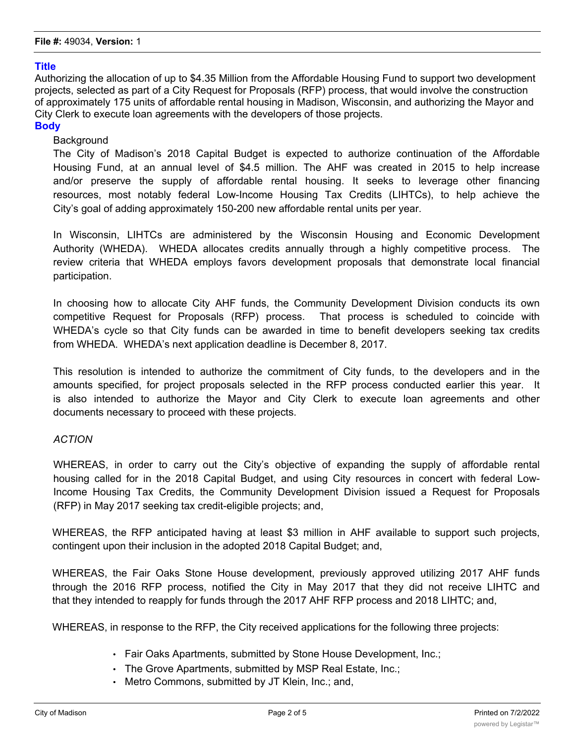### **Title**

Authorizing the allocation of up to \$4.35 Million from the Affordable Housing Fund to support two development projects, selected as part of a City Request for Proposals (RFP) process, that would involve the construction of approximately 175 units of affordable rental housing in Madison, Wisconsin, and authorizing the Mayor and City Clerk to execute loan agreements with the developers of those projects.

## **Body**

### **Background**

The City of Madison's 2018 Capital Budget is expected to authorize continuation of the Affordable Housing Fund, at an annual level of \$4.5 million. The AHF was created in 2015 to help increase and/or preserve the supply of affordable rental housing. It seeks to leverage other financing resources, most notably federal Low-Income Housing Tax Credits (LIHTCs), to help achieve the City's goal of adding approximately 150-200 new affordable rental units per year.

In Wisconsin, LIHTCs are administered by the Wisconsin Housing and Economic Development Authority (WHEDA). WHEDA allocates credits annually through a highly competitive process. The review criteria that WHEDA employs favors development proposals that demonstrate local financial participation.

In choosing how to allocate City AHF funds, the Community Development Division conducts its own competitive Request for Proposals (RFP) process. That process is scheduled to coincide with WHEDA's cycle so that City funds can be awarded in time to benefit developers seeking tax credits from WHEDA. WHEDA's next application deadline is December 8, 2017.

This resolution is intended to authorize the commitment of City funds, to the developers and in the amounts specified, for project proposals selected in the RFP process conducted earlier this year. It is also intended to authorize the Mayor and City Clerk to execute loan agreements and other documents necessary to proceed with these projects.

### *ACTION*

WHEREAS, in order to carry out the City's objective of expanding the supply of affordable rental housing called for in the 2018 Capital Budget, and using City resources in concert with federal Low-Income Housing Tax Credits, the Community Development Division issued a Request for Proposals (RFP) in May 2017 seeking tax credit-eligible projects; and,

WHEREAS, the RFP anticipated having at least \$3 million in AHF available to support such projects, contingent upon their inclusion in the adopted 2018 Capital Budget; and,

WHEREAS, the Fair Oaks Stone House development, previously approved utilizing 2017 AHF funds through the 2016 RFP process, notified the City in May 2017 that they did not receive LIHTC and that they intended to reapply for funds through the 2017 AHF RFP process and 2018 LIHTC; and,

WHEREAS, in response to the RFP, the City received applications for the following three projects:

- Fair Oaks Apartments, submitted by Stone House Development, Inc.;
- The Grove Apartments, submitted by MSP Real Estate, Inc.;
- Metro Commons, submitted by JT Klein, Inc.; and,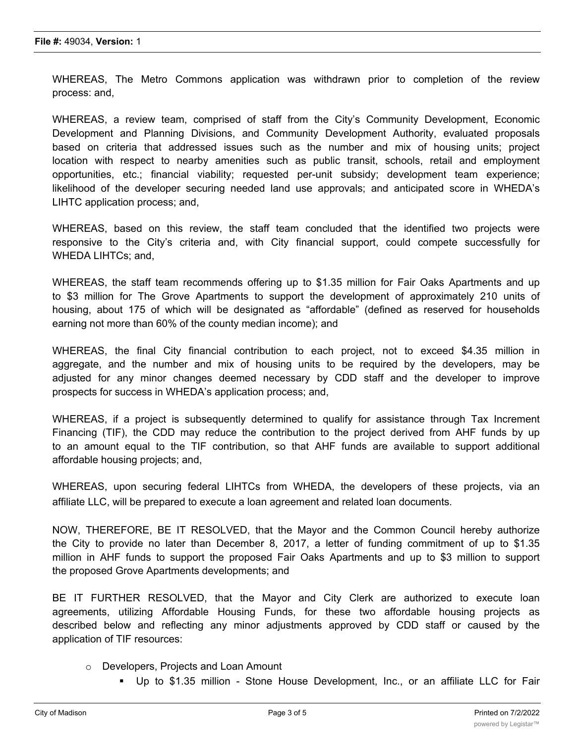WHEREAS, The Metro Commons application was withdrawn prior to completion of the review process: and,

WHEREAS, a review team, comprised of staff from the City's Community Development, Economic Development and Planning Divisions, and Community Development Authority, evaluated proposals based on criteria that addressed issues such as the number and mix of housing units; project location with respect to nearby amenities such as public transit, schools, retail and employment opportunities, etc.; financial viability; requested per-unit subsidy; development team experience; likelihood of the developer securing needed land use approvals; and anticipated score in WHEDA's LIHTC application process; and,

WHEREAS, based on this review, the staff team concluded that the identified two projects were responsive to the City's criteria and, with City financial support, could compete successfully for WHEDA LIHTCs; and,

WHEREAS, the staff team recommends offering up to \$1.35 million for Fair Oaks Apartments and up to \$3 million for The Grove Apartments to support the development of approximately 210 units of housing, about 175 of which will be designated as "affordable" (defined as reserved for households earning not more than 60% of the county median income); and

WHEREAS, the final City financial contribution to each project, not to exceed \$4.35 million in aggregate, and the number and mix of housing units to be required by the developers, may be adjusted for any minor changes deemed necessary by CDD staff and the developer to improve prospects for success in WHEDA's application process; and,

WHEREAS, if a project is subsequently determined to qualify for assistance through Tax Increment Financing (TIF), the CDD may reduce the contribution to the project derived from AHF funds by up to an amount equal to the TIF contribution, so that AHF funds are available to support additional affordable housing projects; and,

WHEREAS, upon securing federal LIHTCs from WHEDA, the developers of these projects, via an affiliate LLC, will be prepared to execute a loan agreement and related loan documents.

NOW, THEREFORE, BE IT RESOLVED, that the Mayor and the Common Council hereby authorize the City to provide no later than December 8, 2017, a letter of funding commitment of up to \$1.35 million in AHF funds to support the proposed Fair Oaks Apartments and up to \$3 million to support the proposed Grove Apartments developments; and

BE IT FURTHER RESOLVED, that the Mayor and City Clerk are authorized to execute loan agreements, utilizing Affordable Housing Funds, for these two affordable housing projects as described below and reflecting any minor adjustments approved by CDD staff or caused by the application of TIF resources:

- o Developers, Projects and Loan Amount
	- § Up to \$1.35 million Stone House Development, Inc., or an affiliate LLC for Fair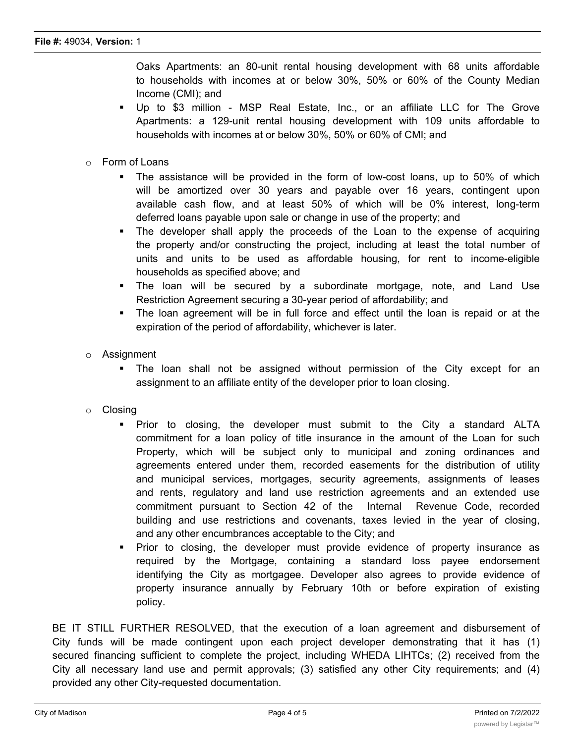Oaks Apartments: an 80-unit rental housing development with 68 units affordable to households with incomes at or below 30%, 50% or 60% of the County Median Income (CMI); and

- § Up to \$3 million MSP Real Estate, Inc., or an affiliate LLC for The Grove Apartments: a 129-unit rental housing development with 109 units affordable to households with incomes at or below 30%, 50% or 60% of CMI; and
- $\circ$  Form of Loans
	- § The assistance will be provided in the form of low-cost loans, up to 50% of which will be amortized over 30 years and payable over 16 years, contingent upon available cash flow, and at least 50% of which will be 0% interest, long-term deferred loans payable upon sale or change in use of the property; and
	- The developer shall apply the proceeds of the Loan to the expense of acquiring the property and/or constructing the project, including at least the total number of units and units to be used as affordable housing, for rent to income-eligible households as specified above; and
	- The loan will be secured by a subordinate mortgage, note, and Land Use Restriction Agreement securing a 30-year period of affordability; and
	- The loan agreement will be in full force and effect until the loan is repaid or at the expiration of the period of affordability, whichever is later.
- o Assignment
	- § The loan shall not be assigned without permission of the City except for an assignment to an affiliate entity of the developer prior to loan closing.
- o Closing
	- § Prior to closing, the developer must submit to the City a standard ALTA commitment for a loan policy of title insurance in the amount of the Loan for such Property, which will be subject only to municipal and zoning ordinances and agreements entered under them, recorded easements for the distribution of utility and municipal services, mortgages, security agreements, assignments of leases and rents, regulatory and land use restriction agreements and an extended use commitment pursuant to Section 42 of the Internal Revenue Code, recorded building and use restrictions and covenants, taxes levied in the year of closing, and any other encumbrances acceptable to the City; and
	- Prior to closing, the developer must provide evidence of property insurance as required by the Mortgage, containing a standard loss payee endorsement identifying the City as mortgagee. Developer also agrees to provide evidence of property insurance annually by February 10th or before expiration of existing policy.

BE IT STILL FURTHER RESOLVED, that the execution of a loan agreement and disbursement of City funds will be made contingent upon each project developer demonstrating that it has (1) secured financing sufficient to complete the project, including WHEDA LIHTCs; (2) received from the City all necessary land use and permit approvals; (3) satisfied any other City requirements; and (4) provided any other City-requested documentation.